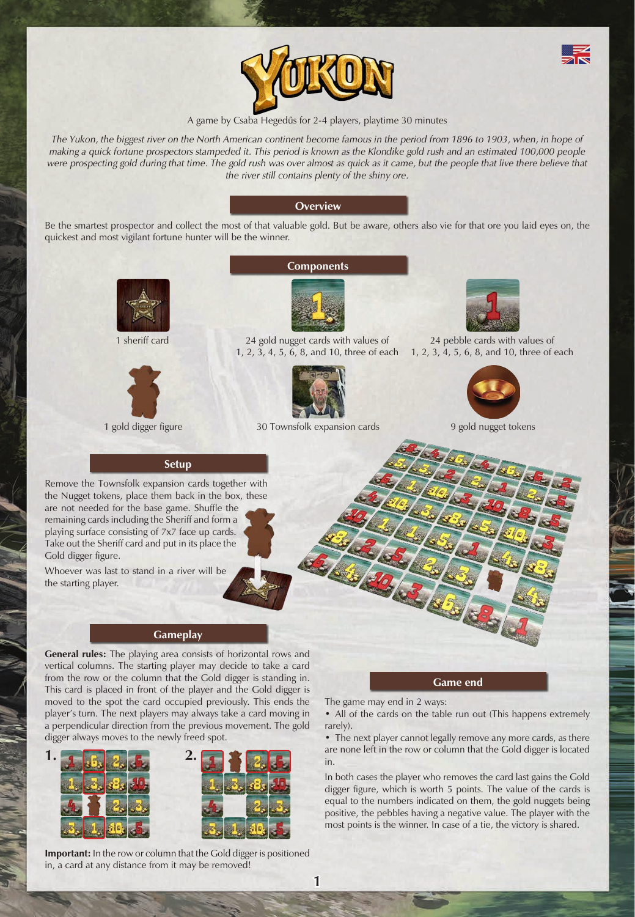



#### A game by Csaba Hegedűs for 2-4 players, playtime 30 minutes

The Yukon, the biggest river on the North American continent become famous in the period from 1896 to 1903, when, in hope of *making a quick fortune prospectors stampeded it. This period is known as the Klondike gold rush and an estimated 100,000 people*  were prospecting gold during that time. The gold rush was over almost as quick as it came, but the people that live there believe that *the river still contains plenty of the shiny ore.* 

## **Overview**

Be the smartest prospector and collect the most of that valuable gold. But be aware, others also vie for that ore you laid eyes on, the quickest and most vigilant fortune hunter will be the winner.





**Components**



1 sheriff card 24 gold nugget cards with values of 1, 2, 3, 4, 5, 6, 8, and 10, three of each



1 gold digger figure 30 Townsfolk expansion cards 9 gold nugget tokens



24 pebble cards with values of 1, 2, 3, 4, 5, 6, 8, and 10, three of each



**Setup**

Remove the Townsfolk expansion cards together with the Nugget tokens, place them back in the box, these are not needed for the base game. Shuffle the remaining cards including the Sheriff and form a playing surface consisting of 7x7 face up cards. Take out the Sheriff card and put in its place the Gold digger figure.

Whoever was last to stand in a river will be the starting player.

# **Gameplay**

**General rules:** The playing area consists of horizontal rows and vertical columns. The starting player may decide to take a card from the row or the column that the Gold digger is standing in. This card is placed in front of the player and the Gold digger is moved to the spot the card occupied previously. This ends the player's turn. The next players may always take a card moving in a perpendicular direction from the previous movement. The gold digger always moves to the newly freed spot.



**Important:** In the row or column that the Gold digger is positioned in, a card at any distance from it may be removed!

**Game end**

The game may end in 2 ways:

• All of the cards on the table run out (This happens extremely rarely).

• The next player cannot legally remove any more cards, as there are none left in the row or column that the Gold digger is located in.

In both cases the player who removes the card last gains the Gold digger figure, which is worth 5 points. The value of the cards is equal to the numbers indicated on them, the gold nuggets being positive, the pebbles having a negative value. The player with the most points is the winner. In case of a tie, the victory is shared.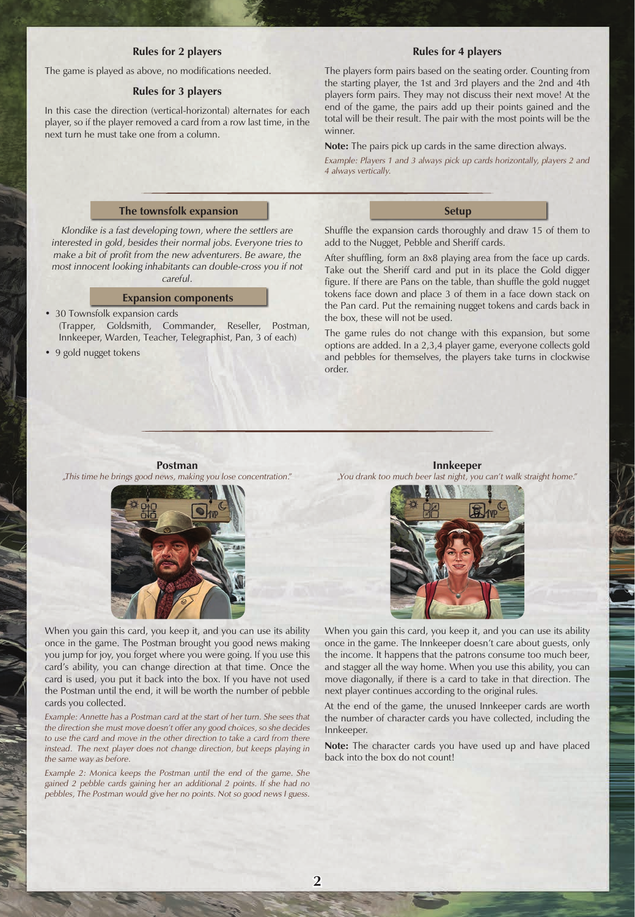### **Rules for 2 players**

The game is played as above, no modifications needed.

## **Rules for 3 players**

In this case the direction (vertical-horizontal) alternates for each player, so if the player removed a card from a row last time, in the next turn he must take one from a column.

The players form pairs based on the seating order. Counting from the starting player, the 1st and 3rd players and the 2nd and 4th players form pairs. They may not discuss their next move! At the end of the game, the pairs add up their points gained and the total will be their result. The pair with the most points will be the winner.

**Rules for 4 players**

**Note:** The pairs pick up cards in the same direction always.

*Example: Players 1 and 3 always pick up cards horizontally, players 2 and 4 always vertically.*

## **The townsfolk expansion**

*Klondike is a fast developing town, where the settlers are interested in gold, besides their normal jobs. Everyone tries to make a bit of profit from the new adventurers. Be aware, the most innocent looking inhabitants can double-cross you if not careful.*

#### **Expansion components**

- 30 Townsfolk expansion cards (Trapper, Goldsmith, Commander, Reseller, Postman, Innkeeper, Warden, Teacher, Telegraphist, Pan, 3 of each)
- 9 gold nugget tokens

Shuffle the expansion cards thoroughly and draw 15 of them to add to the Nugget, Pebble and Sheriff cards.

**Setup**

After shuffling, form an 8x8 playing area from the face up cards. Take out the Sheriff card and put in its place the Gold digger figure. If there are Pans on the table, than shuffle the gold nugget tokens face down and place 3 of them in a face down stack on the Pan card. Put the remaining nugget tokens and cards back in the box, these will not be used.

The game rules do not change with this expansion, but some options are added. In a 2,3,4 player game, everyone collects gold and pebbles for themselves, the players take turns in clockwise order.

**Postman** *"This time he brings good news, making you lose concentration."* 



**Innkeeper** *"You drank too much beer last night, you can't walk straight home."*



When you gain this card, you keep it, and you can use its ability once in the game. The Postman brought you good news making you jump for joy, you forget where you were going. If you use this card's ability, you can change direction at that time. Once the card is used, you put it back into the box. If you have not used the Postman until the end, it will be worth the number of pebble cards you collected.

*Example: Annette has a Postman card at the start of her turn. She sees that the direction she must move doesn't offer any good choices, so she decides*  to use the card and move in the other direction to take a card from there instead. The next player does not change direction, but keeps playing in *the same way as before.* 

*Example 2: Monica keeps the Postman until the end of the game. She gained 2 pebble cards gaining her an additional 2 points. If she had no pebbles, The Postman would give her no points. Not so good news I guess.*

When you gain this card, you keep it, and you can use its ability once in the game. The Innkeeper doesn't care about guests, only the income. It happens that the patrons consume too much beer, and stagger all the way home. When you use this ability, you can move diagonally, if there is a card to take in that direction. The next player continues according to the original rules.

At the end of the game, the unused Innkeeper cards are worth the number of character cards you have collected, including the Innkeeper.

**Note:** The character cards you have used up and have placed back into the box do not count!

**2**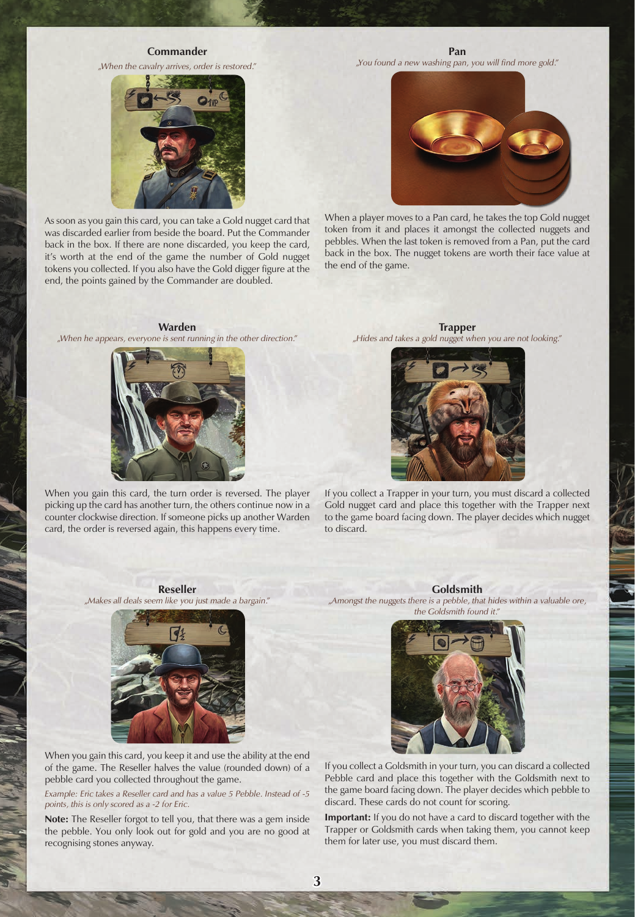#### **Commander**

*"When the cavalry arrives, order is restored."*



As soon as you gain this card, you can take a Gold nugget card that was discarded earlier from beside the board. Put the Commander back in the box. If there are none discarded, you keep the card, it's worth at the end of the game the number of Gold nugget tokens you collected. If you also have the Gold digger figure at the end, the points gained by the Commander are doubled.

#### **Warden**  *"When he appears, everyone is sent running in the other direction."*



When you gain this card, the turn order is reversed. The player picking up the card has another turn, the others continue now in a counter clockwise direction. If someone picks up another Warden card, the order is reversed again, this happens every time.

**Pan** *"You found a new washing pan, you will find more gold."*



When a player moves to a Pan card, he takes the top Gold nugget token from it and places it amongst the collected nuggets and pebbles. When the last token is removed from a Pan, put the card back in the box. The nugget tokens are worth their face value at the end of the game.

**Trapper** *"Hides and takes a gold nugget when you are not looking."*



If you collect a Trapper in your turn, you must discard a collected Gold nugget card and place this together with the Trapper next to the game board facing down. The player decides which nugget to discard.

# **Reseller**

*"Makes all deals seem like you just made a bargain."*



When you gain this card, you keep it and use the ability at the end of the game. The Reseller halves the value (rounded down) of a pebble card you collected throughout the game.

*Example: Eric takes a Reseller card and has a value 5 Pebble. Instead of -5 points, this is only scored as a -2 for Eric.* 

**Note:** The Reseller forgot to tell you, that there was a gem inside the pebble. You only look out for gold and you are no good at recognising stones anyway.

**Goldsmith**

*"Amongst the nuggets there is a pebble, that hides within a valuable ore, the Goldsmith found it."*



If you collect a Goldsmith in your turn, you can discard a collected Pebble card and place this together with the Goldsmith next to the game board facing down. The player decides which pebble to discard. These cards do not count for scoring.

**Important:** If you do not have a card to discard together with the Trapper or Goldsmith cards when taking them, you cannot keep them for later use, you must discard them.

**3**